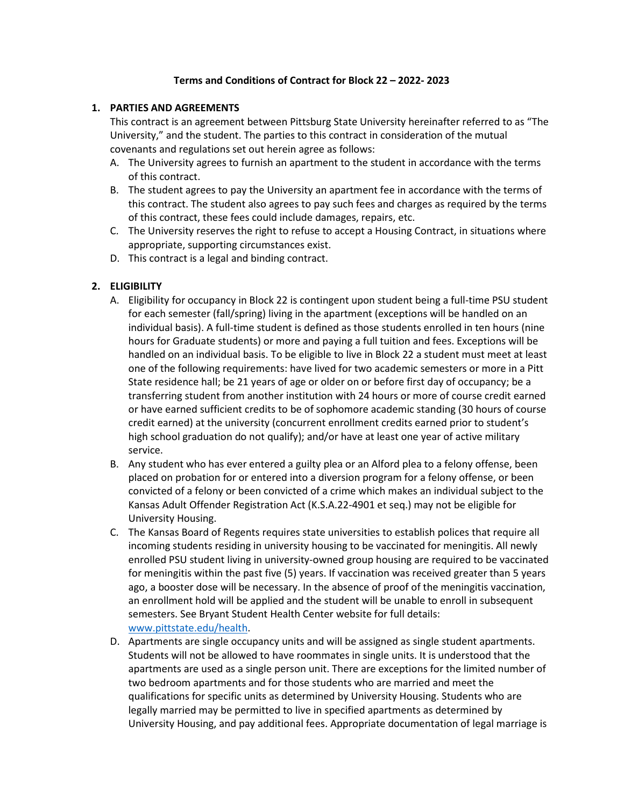### **Terms and Conditions of Contract for Block 22 – 2022- 2023**

### **1. PARTIES AND AGREEMENTS**

This contract is an agreement between Pittsburg State University hereinafter referred to as "The University," and the student. The parties to this contract in consideration of the mutual covenants and regulations set out herein agree as follows:

- A. The University agrees to furnish an apartment to the student in accordance with the terms of this contract.
- B. The student agrees to pay the University an apartment fee in accordance with the terms of this contract. The student also agrees to pay such fees and charges as required by the terms of this contract, these fees could include damages, repairs, etc.
- C. The University reserves the right to refuse to accept a Housing Contract, in situations where appropriate, supporting circumstances exist.
- D. This contract is a legal and binding contract.

# **2. ELIGIBILITY**

- A. Eligibility for occupancy in Block 22 is contingent upon student being a full-time PSU student for each semester (fall/spring) living in the apartment (exceptions will be handled on an individual basis). A full-time student is defined as those students enrolled in ten hours (nine hours for Graduate students) or more and paying a full tuition and fees. Exceptions will be handled on an individual basis. To be eligible to live in Block 22 a student must meet at least one of the following requirements: have lived for two academic semesters or more in a Pitt State residence hall; be 21 years of age or older on or before first day of occupancy; be a transferring student from another institution with 24 hours or more of course credit earned or have earned sufficient credits to be of sophomore academic standing (30 hours of course credit earned) at the university (concurrent enrollment credits earned prior to student's high school graduation do not qualify); and/or have at least one year of active military service.
- B. Any student who has ever entered a guilty plea or an Alford plea to a felony offense, been placed on probation for or entered into a diversion program for a felony offense, or been convicted of a felony or been convicted of a crime which makes an individual subject to the Kansas Adult Offender Registration Act (K.S.A.22-4901 et seq.) may not be eligible for University Housing.
- C. The Kansas Board of Regents requires state universities to establish polices that require all incoming students residing in university housing to be vaccinated for meningitis. All newly enrolled PSU student living in university-owned group housing are required to be vaccinated for meningitis within the past five (5) years. If vaccination was received greater than 5 years ago, a booster dose will be necessary. In the absence of proof of the meningitis vaccination, an enrollment hold will be applied and the student will be unable to enroll in subsequent semesters. See Bryant Student Health Center website for full details: [www.pittstate.edu/health.](http://www.pittstate.edu/health)
- D. Apartments are single occupancy units and will be assigned as single student apartments. Students will not be allowed to have roommates in single units. It is understood that the apartments are used as a single person unit. There are exceptions for the limited number of two bedroom apartments and for those students who are married and meet the qualifications for specific units as determined by University Housing. Students who are legally married may be permitted to live in specified apartments as determined by University Housing, and pay additional fees. Appropriate documentation of legal marriage is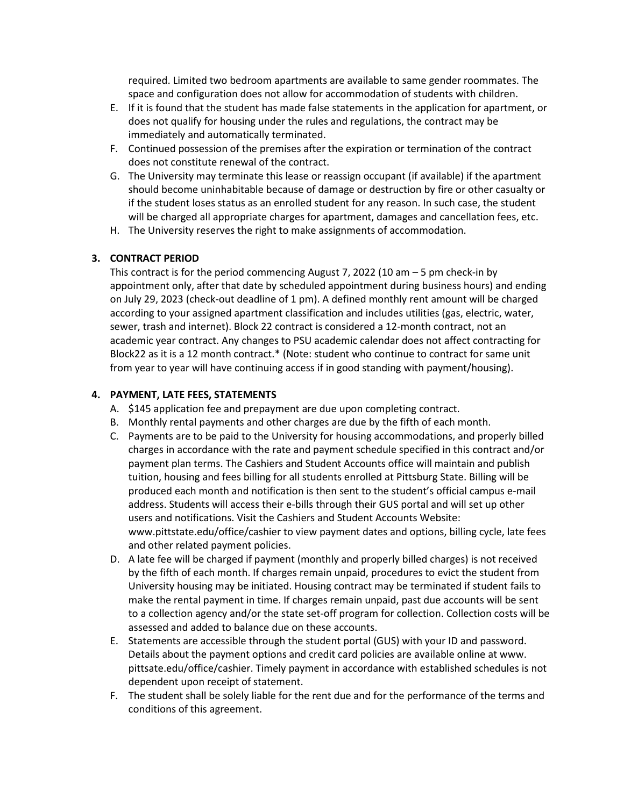required. Limited two bedroom apartments are available to same gender roommates. The space and configuration does not allow for accommodation of students with children.

- E. If it is found that the student has made false statements in the application for apartment, or does not qualify for housing under the rules and regulations, the contract may be immediately and automatically terminated.
- F. Continued possession of the premises after the expiration or termination of the contract does not constitute renewal of the contract.
- G. The University may terminate this lease or reassign occupant (if available) if the apartment should become uninhabitable because of damage or destruction by fire or other casualty or if the student loses status as an enrolled student for any reason. In such case, the student will be charged all appropriate charges for apartment, damages and cancellation fees, etc.
- H. The University reserves the right to make assignments of accommodation.

### **3. CONTRACT PERIOD**

This contract is for the period commencing August 7, 2022 (10 am – 5 pm check-in by appointment only, after that date by scheduled appointment during business hours) and ending on July 29, 2023 (check-out deadline of 1 pm). A defined monthly rent amount will be charged according to your assigned apartment classification and includes utilities (gas, electric, water, sewer, trash and internet). Block 22 contract is considered a 12-month contract, not an academic year contract. Any changes to PSU academic calendar does not affect contracting for Block22 as it is a 12 month contract.\* (Note: student who continue to contract for same unit from year to year will have continuing access if in good standing with payment/housing).

## **4. PAYMENT, LATE FEES, STATEMENTS**

- A. \$145 application fee and prepayment are due upon completing contract.
- B. Monthly rental payments and other charges are due by the fifth of each month.
- C. Payments are to be paid to the University for housing accommodations, and properly billed charges in accordance with the rate and payment schedule specified in this contract and/or payment plan terms. The Cashiers and Student Accounts office will maintain and publish tuition, housing and fees billing for all students enrolled at Pittsburg State. Billing will be produced each month and notification is then sent to the student's official campus e-mail address. Students will access their e-bills through their GUS portal and will set up other users and notifications. Visit the Cashiers and Student Accounts Website: www.pittstate.edu/office/cashier to view payment dates and options, billing cycle, late fees and other related payment policies.
- D. A late fee will be charged if payment (monthly and properly billed charges) is not received by the fifth of each month. If charges remain unpaid, procedures to evict the student from University housing may be initiated. Housing contract may be terminated if student fails to make the rental payment in time. If charges remain unpaid, past due accounts will be sent to a collection agency and/or the state set-off program for collection. Collection costs will be assessed and added to balance due on these accounts.
- E. Statements are accessible through the student portal (GUS) with your ID and password. Details about the payment options and credit card policies are available online at www. pittsate.edu/office/cashier. Timely payment in accordance with established schedules is not dependent upon receipt of statement.
- F. The student shall be solely liable for the rent due and for the performance of the terms and conditions of this agreement.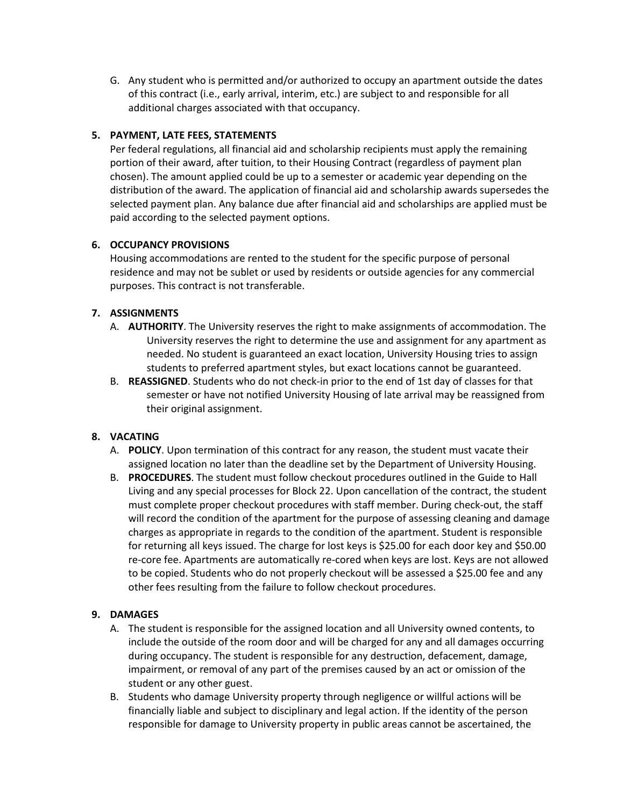G. Any student who is permitted and/or authorized to occupy an apartment outside the dates of this contract (i.e., early arrival, interim, etc.) are subject to and responsible for all additional charges associated with that occupancy.

# **5. PAYMENT, LATE FEES, STATEMENTS**

Per federal regulations, all financial aid and scholarship recipients must apply the remaining portion of their award, after tuition, to their Housing Contract (regardless of payment plan chosen). The amount applied could be up to a semester or academic year depending on the distribution of the award. The application of financial aid and scholarship awards supersedes the selected payment plan. Any balance due after financial aid and scholarships are applied must be paid according to the selected payment options.

## **6. OCCUPANCY PROVISIONS**

Housing accommodations are rented to the student for the specific purpose of personal residence and may not be sublet or used by residents or outside agencies for any commercial purposes. This contract is not transferable.

## **7. ASSIGNMENTS**

- A. **AUTHORITY**. The University reserves the right to make assignments of accommodation. The University reserves the right to determine the use and assignment for any apartment as needed. No student is guaranteed an exact location, University Housing tries to assign students to preferred apartment styles, but exact locations cannot be guaranteed.
- B. **REASSIGNED**. Students who do not check-in prior to the end of 1st day of classes for that semester or have not notified University Housing of late arrival may be reassigned from their original assignment.

# **8. VACATING**

- A. **POLICY**. Upon termination of this contract for any reason, the student must vacate their assigned location no later than the deadline set by the Department of University Housing.
- B. **PROCEDURES**. The student must follow checkout procedures outlined in the Guide to Hall Living and any special processes for Block 22. Upon cancellation of the contract, the student must complete proper checkout procedures with staff member. During check-out, the staff will record the condition of the apartment for the purpose of assessing cleaning and damage charges as appropriate in regards to the condition of the apartment. Student is responsible for returning all keys issued. The charge for lost keys is \$25.00 for each door key and \$50.00 re-core fee. Apartments are automatically re-cored when keys are lost. Keys are not allowed to be copied. Students who do not properly checkout will be assessed a \$25.00 fee and any other fees resulting from the failure to follow checkout procedures.

# **9. DAMAGES**

- A. The student is responsible for the assigned location and all University owned contents, to include the outside of the room door and will be charged for any and all damages occurring during occupancy. The student is responsible for any destruction, defacement, damage, impairment, or removal of any part of the premises caused by an act or omission of the student or any other guest.
- B. Students who damage University property through negligence or willful actions will be financially liable and subject to disciplinary and legal action. If the identity of the person responsible for damage to University property in public areas cannot be ascertained, the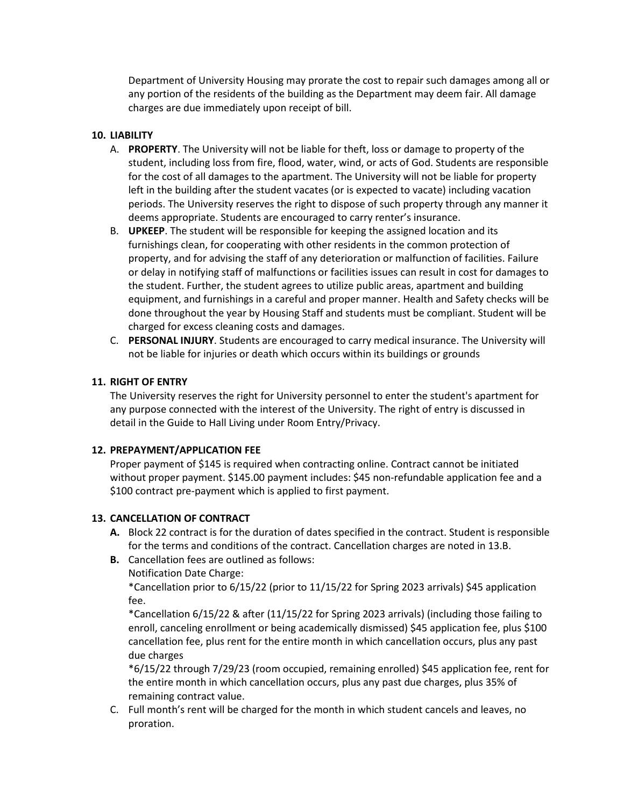Department of University Housing may prorate the cost to repair such damages among all or any portion of the residents of the building as the Department may deem fair. All damage charges are due immediately upon receipt of bill.

# **10. LIABILITY**

- A. **PROPERTY**. The University will not be liable for theft, loss or damage to property of the student, including loss from fire, flood, water, wind, or acts of God. Students are responsible for the cost of all damages to the apartment. The University will not be liable for property left in the building after the student vacates (or is expected to vacate) including vacation periods. The University reserves the right to dispose of such property through any manner it deems appropriate. Students are encouraged to carry renter's insurance.
- B. **UPKEEP**. The student will be responsible for keeping the assigned location and its furnishings clean, for cooperating with other residents in the common protection of property, and for advising the staff of any deterioration or malfunction of facilities. Failure or delay in notifying staff of malfunctions or facilities issues can result in cost for damages to the student. Further, the student agrees to utilize public areas, apartment and building equipment, and furnishings in a careful and proper manner. Health and Safety checks will be done throughout the year by Housing Staff and students must be compliant. Student will be charged for excess cleaning costs and damages.
- C. **PERSONAL INJURY**. Students are encouraged to carry medical insurance. The University will not be liable for injuries or death which occurs within its buildings or grounds

## **11. RIGHT OF ENTRY**

The University reserves the right for University personnel to enter the student's apartment for any purpose connected with the interest of the University. The right of entry is discussed in detail in the Guide to Hall Living under Room Entry/Privacy.

### **12. PREPAYMENT/APPLICATION FEE**

Proper payment of \$145 is required when contracting online. Contract cannot be initiated without proper payment. \$145.00 payment includes: \$45 non-refundable application fee and a \$100 contract pre-payment which is applied to first payment.

### **13. CANCELLATION OF CONTRACT**

- **A.** Block 22 contract is for the duration of dates specified in the contract. Student is responsible for the terms and conditions of the contract. Cancellation charges are noted in 13.B.
- **B.** Cancellation fees are outlined as follows:
	- Notification Date Charge:

\*Cancellation prior to 6/15/22 (prior to 11/15/22 for Spring 2023 arrivals) \$45 application fee.

\*Cancellation 6/15/22 & after (11/15/22 for Spring 2023 arrivals) (including those failing to enroll, canceling enrollment or being academically dismissed) \$45 application fee, plus \$100 cancellation fee, plus rent for the entire month in which cancellation occurs, plus any past due charges

\*6/15/22 through 7/29/23 (room occupied, remaining enrolled) \$45 application fee, rent for the entire month in which cancellation occurs, plus any past due charges, plus 35% of remaining contract value.

C. Full month's rent will be charged for the month in which student cancels and leaves, no proration.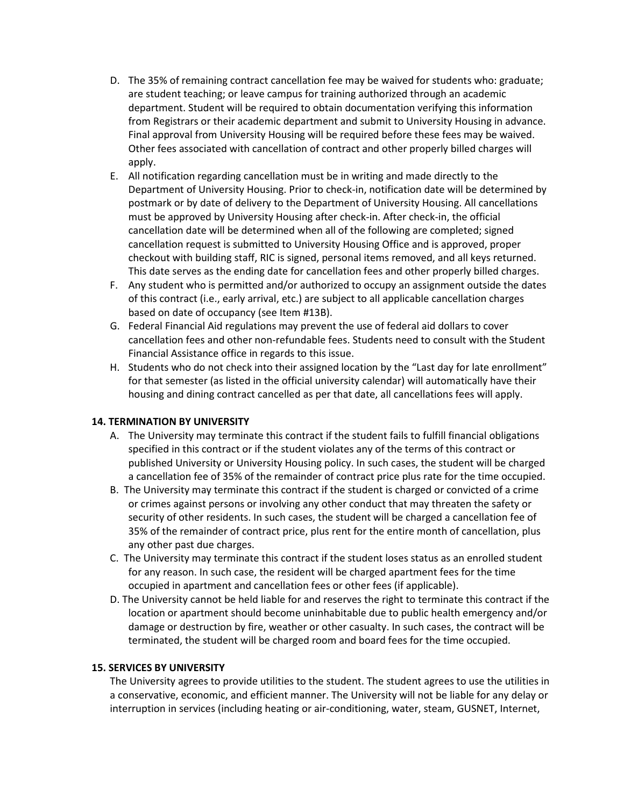- D. The 35% of remaining contract cancellation fee may be waived for students who: graduate; are student teaching; or leave campus for training authorized through an academic department. Student will be required to obtain documentation verifying this information from Registrars or their academic department and submit to University Housing in advance. Final approval from University Housing will be required before these fees may be waived. Other fees associated with cancellation of contract and other properly billed charges will apply.
- E. All notification regarding cancellation must be in writing and made directly to the Department of University Housing. Prior to check-in, notification date will be determined by postmark or by date of delivery to the Department of University Housing. All cancellations must be approved by University Housing after check-in. After check-in, the official cancellation date will be determined when all of the following are completed; signed cancellation request is submitted to University Housing Office and is approved, proper checkout with building staff, RIC is signed, personal items removed, and all keys returned. This date serves as the ending date for cancellation fees and other properly billed charges.
- F. Any student who is permitted and/or authorized to occupy an assignment outside the dates of this contract (i.e., early arrival, etc.) are subject to all applicable cancellation charges based on date of occupancy (see Item #13B).
- G. Federal Financial Aid regulations may prevent the use of federal aid dollars to cover cancellation fees and other non-refundable fees. Students need to consult with the Student Financial Assistance office in regards to this issue.
- H. Students who do not check into their assigned location by the "Last day for late enrollment" for that semester (as listed in the official university calendar) will automatically have their housing and dining contract cancelled as per that date, all cancellations fees will apply.

### **14. TERMINATION BY UNIVERSITY**

- A. The University may terminate this contract if the student fails to fulfill financial obligations specified in this contract or if the student violates any of the terms of this contract or published University or University Housing policy. In such cases, the student will be charged a cancellation fee of 35% of the remainder of contract price plus rate for the time occupied.
- B. The University may terminate this contract if the student is charged or convicted of a crime or crimes against persons or involving any other conduct that may threaten the safety or security of other residents. In such cases, the student will be charged a cancellation fee of 35% of the remainder of contract price, plus rent for the entire month of cancellation, plus any other past due charges.
- C. The University may terminate this contract if the student loses status as an enrolled student for any reason. In such case, the resident will be charged apartment fees for the time occupied in apartment and cancellation fees or other fees (if applicable).
- D. The University cannot be held liable for and reserves the right to terminate this contract if the location or apartment should become uninhabitable due to public health emergency and/or damage or destruction by fire, weather or other casualty. In such cases, the contract will be terminated, the student will be charged room and board fees for the time occupied.

### **15. SERVICES BY UNIVERSITY**

The University agrees to provide utilities to the student. The student agrees to use the utilities in a conservative, economic, and efficient manner. The University will not be liable for any delay or interruption in services (including heating or air-conditioning, water, steam, GUSNET, Internet,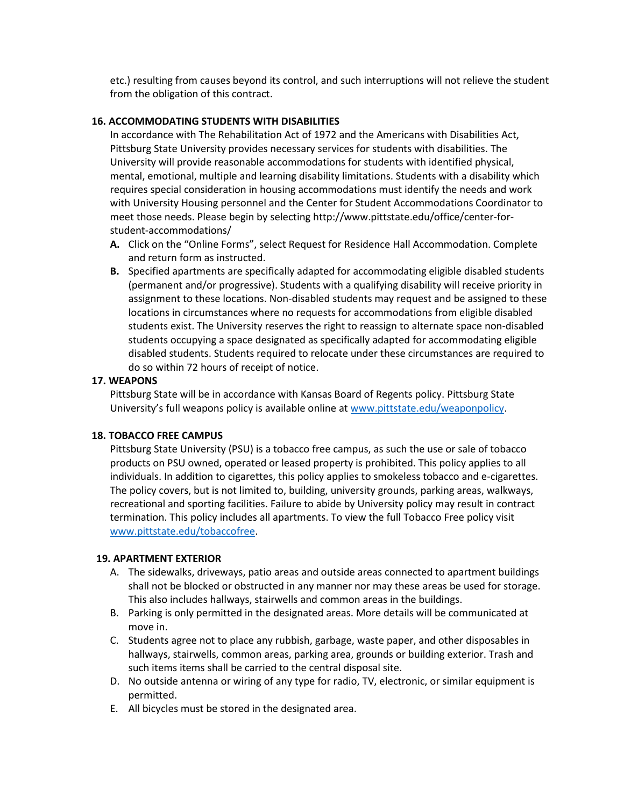etc.) resulting from causes beyond its control, and such interruptions will not relieve the student from the obligation of this contract.

#### **16. ACCOMMODATING STUDENTS WITH DISABILITIES**

In accordance with The Rehabilitation Act of 1972 and the Americans with Disabilities Act, Pittsburg State University provides necessary services for students with disabilities. The University will provide reasonable accommodations for students with identified physical, mental, emotional, multiple and learning disability limitations. Students with a disability which requires special consideration in housing accommodations must identify the needs and work with University Housing personnel and the Center for Student Accommodations Coordinator to meet those needs. Please begin by selecting http://www.pittstate.edu/office/center-forstudent-accommodations/

- **A.** Click on the "Online Forms", select Request for Residence Hall Accommodation. Complete and return form as instructed.
- **B.** Specified apartments are specifically adapted for accommodating eligible disabled students (permanent and/or progressive). Students with a qualifying disability will receive priority in assignment to these locations. Non-disabled students may request and be assigned to these locations in circumstances where no requests for accommodations from eligible disabled students exist. The University reserves the right to reassign to alternate space non-disabled students occupying a space designated as specifically adapted for accommodating eligible disabled students. Students required to relocate under these circumstances are required to do so within 72 hours of receipt of notice.

### **17. WEAPONS**

Pittsburg State will be in accordance with Kansas Board of Regents policy. Pittsburg State University's full weapons policy is available online at [www.pittstate.edu/weaponpolicy.](http://www.pittstate.edu/weaponpolicy)

### **18. TOBACCO FREE CAMPUS**

Pittsburg State University (PSU) is a tobacco free campus, as such the use or sale of tobacco products on PSU owned, operated or leased property is prohibited. This policy applies to all individuals. In addition to cigarettes, this policy applies to smokeless tobacco and e-cigarettes. The policy covers, but is not limited to, building, university grounds, parking areas, walkways, recreational and sporting facilities. Failure to abide by University policy may result in contract termination. This policy includes all apartments. To view the full Tobacco Free policy visit [www.pittstate.edu/tobaccofree.](http://www.pittstate.edu/tobaccofree)

#### **19. APARTMENT EXTERIOR**

- A. The sidewalks, driveways, patio areas and outside areas connected to apartment buildings shall not be blocked or obstructed in any manner nor may these areas be used for storage. This also includes hallways, stairwells and common areas in the buildings.
- B. Parking is only permitted in the designated areas. More details will be communicated at move in.
- C. Students agree not to place any rubbish, garbage, waste paper, and other disposables in hallways, stairwells, common areas, parking area, grounds or building exterior. Trash and such items items shall be carried to the central disposal site.
- D. No outside antenna or wiring of any type for radio, TV, electronic, or similar equipment is permitted.
- E. All bicycles must be stored in the designated area.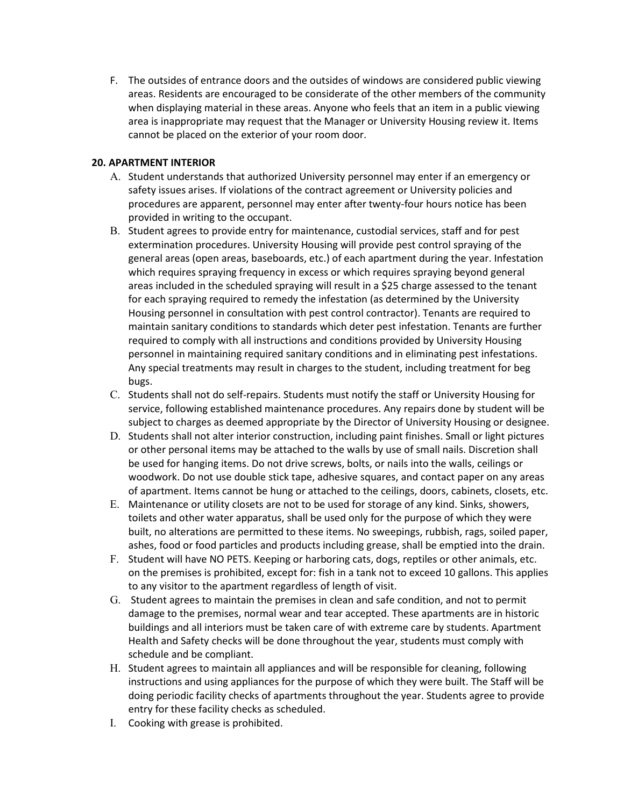F. The outsides of entrance doors and the outsides of windows are considered public viewing areas. Residents are encouraged to be considerate of the other members of the community when displaying material in these areas. Anyone who feels that an item in a public viewing area is inappropriate may request that the Manager or University Housing review it. Items cannot be placed on the exterior of your room door.

## **20. APARTMENT INTERIOR**

- A. Student understands that authorized University personnel may enter if an emergency or safety issues arises. If violations of the contract agreement or University policies and procedures are apparent, personnel may enter after twenty-four hours notice has been provided in writing to the occupant.
- B. Student agrees to provide entry for maintenance, custodial services, staff and for pest extermination procedures. University Housing will provide pest control spraying of the general areas (open areas, baseboards, etc.) of each apartment during the year. Infestation which requires spraying frequency in excess or which requires spraying beyond general areas included in the scheduled spraying will result in a \$25 charge assessed to the tenant for each spraying required to remedy the infestation (as determined by the University Housing personnel in consultation with pest control contractor). Tenants are required to maintain sanitary conditions to standards which deter pest infestation. Tenants are further required to comply with all instructions and conditions provided by University Housing personnel in maintaining required sanitary conditions and in eliminating pest infestations. Any special treatments may result in charges to the student, including treatment for beg bugs.
- C. Students shall not do self-repairs. Students must notify the staff or University Housing for service, following established maintenance procedures. Any repairs done by student will be subject to charges as deemed appropriate by the Director of University Housing or designee.
- D. Students shall not alter interior construction, including paint finishes. Small or light pictures or other personal items may be attached to the walls by use of small nails. Discretion shall be used for hanging items. Do not drive screws, bolts, or nails into the walls, ceilings or woodwork. Do not use double stick tape, adhesive squares, and contact paper on any areas of apartment. Items cannot be hung or attached to the ceilings, doors, cabinets, closets, etc.
- E. Maintenance or utility closets are not to be used for storage of any kind. Sinks, showers, toilets and other water apparatus, shall be used only for the purpose of which they were built, no alterations are permitted to these items. No sweepings, rubbish, rags, soiled paper, ashes, food or food particles and products including grease, shall be emptied into the drain.
- F. Student will have NO PETS. Keeping or harboring cats, dogs, reptiles or other animals, etc. on the premises is prohibited, except for: fish in a tank not to exceed 10 gallons. This applies to any visitor to the apartment regardless of length of visit.
- G. Student agrees to maintain the premises in clean and safe condition, and not to permit damage to the premises, normal wear and tear accepted. These apartments are in historic buildings and all interiors must be taken care of with extreme care by students. Apartment Health and Safety checks will be done throughout the year, students must comply with schedule and be compliant.
- H. Student agrees to maintain all appliances and will be responsible for cleaning, following instructions and using appliances for the purpose of which they were built. The Staff will be doing periodic facility checks of apartments throughout the year. Students agree to provide entry for these facility checks as scheduled.
- I. Cooking with grease is prohibited.